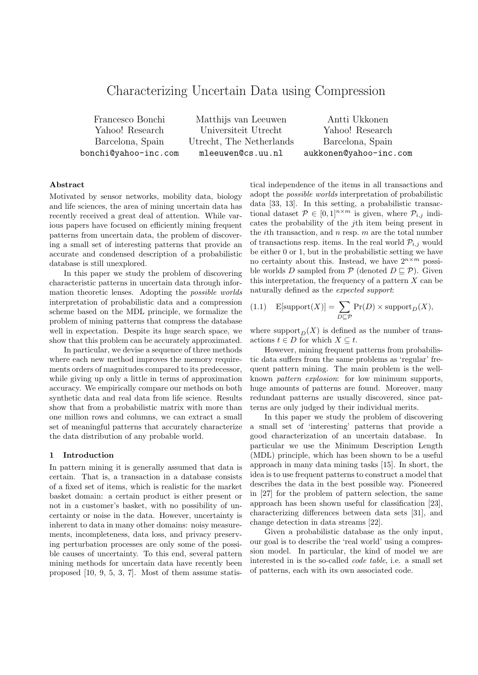# Characterizing Uncertain Data using Compression

Francesco Bonchi Matthijs van Leeuwen Antti Ukkonen Yahoo! Research Universiteit Utrecht Yahoo! Research Barcelona, Spain Utrecht, The Netherlands Barcelona, Spain bonchi@yahoo-inc.com mleeuwen@cs.uu.nl aukkonen@yahoo-inc.com

## **Abstract**

Motivated by sensor networks, mobility data, biology and life sciences, the area of mining uncertain data has recently received a great deal of attention. While various papers have focused on efficiently mining frequent patterns from uncertain data, the problem of discovering a small set of interesting patterns that provide an accurate and condensed description of a probabilistic database is still unexplored.

In this paper we study the problem of discovering characteristic patterns in uncertain data through information theoretic lenses. Adopting the *possible worlds* interpretation of probabilistic data and a compression scheme based on the MDL principle, we formalize the problem of mining patterns that compress the database well in expectation. Despite its huge search space, we show that this problem can be accurately approximated.

In particular, we devise a sequence of three methods where each new method improves the memory requirements orders of magnitudes compared to its predecessor, while giving up only a little in terms of approximation accuracy. We empirically compare our methods on both synthetic data and real data from life science. Results show that from a probabilistic matrix with more than one million rows and columns, we can extract a small set of meaningful patterns that accurately characterize the data distribution of any probable world.

#### **1 Introduction**

In pattern mining it is generally assumed that data is certain. That is, a transaction in a database consists of a fixed set of items, which is realistic for the market basket domain: a certain product is either present or not in a customer's basket, with no possibility of uncertainty or noise in the data. However, uncertainty is inherent to data in many other domains: noisy measurements, incompleteness, data loss, and privacy preserving perturbation processes are only some of the possible causes of uncertainty. To this end, several pattern mining methods for uncertain data have recently been proposed [10, 9, 5, 3, 7]. Most of them assume statistical independence of the items in all transactions and adopt the *possible worlds* interpretation of probabilistic data [33, 13]. In this setting, a probabilistic transactional dataset  $\mathcal{P} \in [0,1]^{n \times m}$  is given, where  $\mathcal{P}_{i,j}$  indicates the probability of the *j*th item being present in the *i*th transaction, and *n* resp. *m* are the total number of transactions resp. items. In the real world  $P_{i,j}$  would be either 0 or 1, but in the probabilistic setting we have no certainty about this. Instead, we have  $2^{n \times m}$  possible worlds *D* sampled from  $P$  (denoted  $D \sqsubseteq P$ ). Given this interpretation, the frequency of a pattern *X* can be naturally defined as the *expected support*:

(1.1) 
$$
E[\text{support}(X)] = \sum_{D \sqsubseteq \mathcal{P}} \Pr(D) \times \text{support}_D(X),
$$

where support<sub> $D$ </sub>(*X*) is defined as the number of transactions  $t \in D$  for which  $X \subseteq t$ .

However, mining frequent patterns from probabilistic data suffers from the same problems as 'regular' frequent pattern mining. The main problem is the wellknown *pattern explosion*: for low minimum supports, huge amounts of patterns are found. Moreover, many redundant patterns are usually discovered, since patterns are only judged by their individual merits.

In this paper we study the problem of discovering a small set of 'interesting' patterns that provide a good characterization of an uncertain database. In particular we use the Minimum Description Length (MDL) principle, which has been shown to be a useful approach in many data mining tasks [15]. In short, the idea is to use frequent patterns to construct a model that describes the data in the best possible way. Pioneered in [27] for the problem of pattern selection, the same approach has been shown useful for classification [23], characterizing differences between data sets [31], and change detection in data streams [22].

Given a probabilistic database as the only input, our goal is to describe the 'real world' using a compression model. In particular, the kind of model we are interested in is the so-called *code table*, i.e. a small set of patterns, each with its own associated code.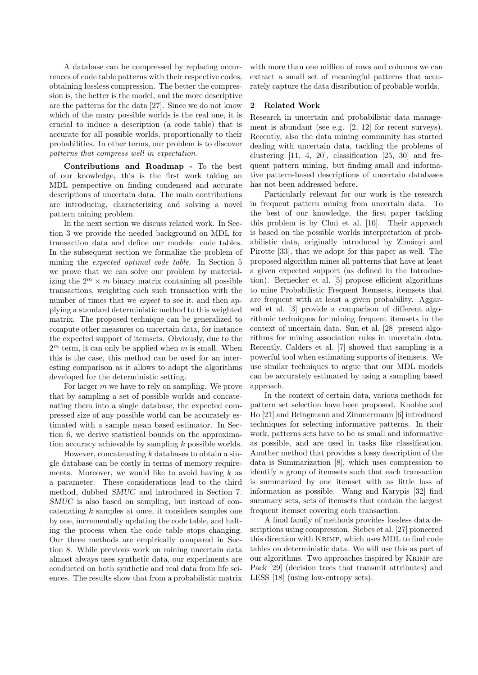A database can be compressed by replacing occurrences of code table patterns with their respective codes, obtaining lossless compression. The better the compression is, the better is the model, and the more descriptive are the patterns for the data [27]. Since we do not know which of the many possible worlds is the real one, it is crucial to induce a description (a code table) that is accurate for all possible worlds, proportionally to their probabilities. In other terms, our problem is to discover *patterns that compress well in expectation*.

**Contributions and Roadmap -** To the best of our knowledge, this is the first work taking an MDL perspective on finding condensed and accurate descriptions of uncertain data. The main contributions are introducing, characterizing and solving a novel pattern mining problem.

In the next section we discuss related work. In Section 3 we provide the needed background on MDL for transaction data and define our models: code tables. In the subsequent section we formalize the problem of mining the *expected optimal code table*. In Section 5 we prove that we can solve our problem by materializing the  $2^m \times m$  binary matrix containing all possible transactions, weighting each such transaction with the number of times that we *expect* to see it, and then applying a standard deterministic method to this weighted matrix. The proposed technique can be generalized to compute other measures on uncertain data, for instance the expected support of itemsets. Obviously, due to the  $2<sup>m</sup>$  term, it can only be applied when  $m$  is small. When this is the case, this method can be used for an interesting comparison as it allows to adopt the algorithms developed for the deterministic setting.

For larger *m* we have to rely on sampling. We prove that by sampling a set of possible worlds and concatenating them into a single database, the expected compressed size of any possible world can be accurately estimated with a sample mean based estimator. In Section 6, we derive statistical bounds on the approximation accuracy achievable by sampling *k* possible worlds.

However, concatenating *k* databases to obtain a single database can be costly in terms of memory requirements. Moreover, we would like to avoid having *k* as a parameter. These considerations lead to the third method, dubbed *SMUC* and introduced in Section 7. *SMUC* is also based on sampling, but instead of concatenating *k* samples at once, it considers samples one by one, incrementally updating the code table, and halting the process when the code table stops changing. Our three methods are empirically compared in Section 8. While previous work on mining uncertain data almost always uses synthetic data, our experiments are conducted on both synthetic and real data from life sciences. The results show that from a probabilistic matrix with more than one million of rows and columns we can extract a small set of meaningful patterns that accurately capture the data distribution of probable worlds.

#### **2 Related Work**

Research in uncertain and probabilistic data management is abundant (see e.g. [2, 12] for recent surveys). Recently, also the data mining community has started dealing with uncertain data, tackling the problems of clustering  $[11, 4, 20]$ , classification  $[25, 30]$  and frequent pattern mining, but finding small and informative pattern-based descriptions of uncertain databases has not been addressed before.

Particularly relevant for our work is the research in frequent pattern mining from uncertain data. To the best of our knowledge, the first paper tackling this problem is by Chui et al. [10]. Their approach is based on the possible worlds interpretation of probabilistic data, originally introduced by Zimányi and Pirotte [33], that we adopt for this paper as well. The proposed algorithm mines all patterns that have at least a given expected support (as defined in the Introduction). Bernecker et al. [5] propose efficient algorithms to mine Probabilistic Frequent Itemsets, itemsets that are frequent with at least a given probability. Aggarwal et al. [3] provide a comparison of different algorithmic techniques for mining frequent itemsets in the context of uncertain data. Sun et al. [28] present algorithms for mining association rules in uncertain data. Recently, Calders et al. [7] showed that sampling is a powerful tool when estimating supports of itemsets. We use similar techniques to argue that our MDL models can be accurately estimated by using a sampling based approach.

In the context of certain data, various methods for pattern set selection have been proposed. Knobbe and Ho [21] and Bringmann and Zimmermann [6] introduced techniques for selecting informative patterns. In their work, patterns sets have to be as small and informative as possible, and are used in tasks like classification. Another method that provides a lossy description of the data is Summarization [8], which uses compression to identify a group of itemsets such that each transaction is summarized by one itemset with as little loss of information as possible. Wang and Karypis [32] find summary sets, sets of itemsets that contain the largest frequent itemset covering each transaction.

A final family of methods provides lossless data descriptions using compression. Siebes et al. [27] pioneered this direction with Krimp, which uses MDL to find code tables on deterministic data. We will use this as part of our algorithms. Two approaches inspired by Krimp are Pack [29] (decision trees that transmit attributes) and LESS [18] (using low-entropy sets).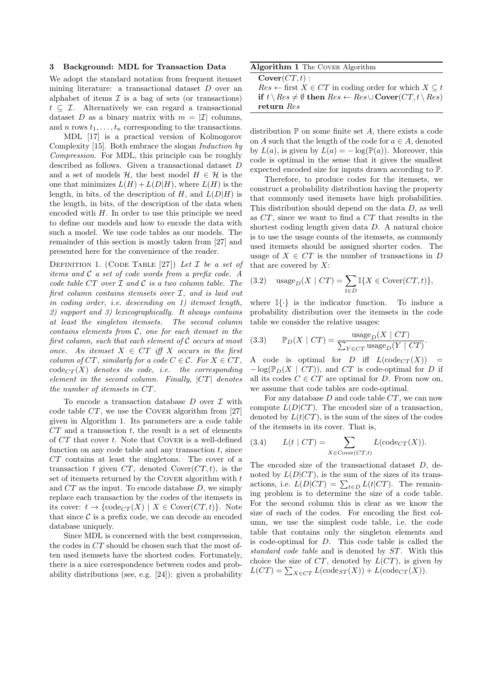#### **3 Background: MDL for Transaction Data**

We adopt the standard notation from frequent itemset mining literature: a transactional dataset *D* over an alphabet of items  $\mathcal I$  is a bag of sets (or transactions) *t ⊆ I*. Alternatively we can regard a transactional dataset *D* as a binary matrix with  $m = |I|$  columns, and *n* rows  $t_1, \ldots, t_n$  corresponding to the transactions.

MDL [17] is a practical version of Kolmogorov Complexity [15]. Both embrace the slogan *Induction by Compression*. For MDL, this principle can be roughly described as follows. Given a transactional dataset *D* and a set of models  $H$ , the best model  $H \in \mathcal{H}$  is the one that minimizes  $L(H) + L(D|H)$ , where  $L(H)$  is the length, in bits, of the description of  $H$ , and  $L(D|H)$  is the length, in bits, of the description of the data when encoded with *H*. In order to use this principle we need to define our models and how to encode the data with such a model. We use code tables as our models. The remainder of this section is mostly taken from [27] and presented here for the convenience of the reader.

Definition 1. (Code Table [27]) *Let I be a set of items and C a set of code words from a prefix code. A code table CT over I and C is a two column table. The first column contains itemsets over I, and is laid out in coding order, i.e. descending on 1) itemset length, 2) support and 3) lexicographically. It always contains at least the singleton itemsets. The second column contains elements from C, one for each itemset in the first column, such that each element of C occurs at most once.* An itemset  $X \in CT$  iff  $X$  *occurs in the first column of*  $CT$ *, similarly for a code*  $C \in \mathcal{C}$ *. For*  $X \in CT$ *,*  $\operatorname{code}_{CT}(X)$  *denotes its code, i.e. the corresponding element in the second column. Finally, |CT| denotes the number of itemsets in CT.*

To encode a transaction database *D* over *I* with code table *CT*, we use the Cover algorithm from [27] given in Algorithm 1. Its parameters are a code table *CT* and a transaction *t*, the result is a set of elements of *CT* that cover *t*. Note that Cover is a well-defined function on any code table and any transaction *t*, since *CT* contains at least the singletons. The cover of a transaction  $t$  given  $CT$ , denoted  $Cover(CT, t)$ , is the set of itemsets returned by the Cover algorithm with *t* and *CT* as the input. To encode database *D*, we simply replace each transaction by the codes of the itemsets in its cover:  $t \to \{\text{code}_{CT}(X) \mid X \in \text{Cover}(CT, t)\}.$  Note that since  $C$  is a prefix code, we can decode an encoded database uniquely.

Since MDL is concerned with the best compression, the codes in *CT* should be chosen such that the most often used itemsets have the shortest codes. Fortunately, there is a nice correspondence between codes and probability distributions (see, e.g. [24]): given a probability

| Algorithm 1 The COVER Algorithm |  |  |  |
|---------------------------------|--|--|--|
|---------------------------------|--|--|--|

| $Cover(CT, t)$ :                                                                              |
|-----------------------------------------------------------------------------------------------|
| $Res \leftarrow$ first $X \in CT$ in coding order for which $X \subseteq t$                   |
| if $t \setminus Res \neq \emptyset$ then $Res \leftarrow Res \cup Cover(CT, t \setminus Res)$ |
| return Res                                                                                    |

distribution  $\mathbb P$  on some finite set  $A$ , there exists a code on *A* such that the length of the code for  $a \in A$ , denoted by  $L(a)$ , is given by  $L(a) = -\log(\mathbb{P}(a))$ . Moreover, this code is optimal in the sense that it gives the smallest expected encoded size for inputs drawn according to P.

Therefore, to produce codes for the itemsets, we construct a probability distribution having the property that commonly used itemsets have high probabilities. This distribution should depend on the data *D*, as well as *CT*, since we want to find a *CT* that results in the shortest coding length given data *D*. A natural choice is to use the usage counts of the itemsets, as commonly used itemsets should be assigned shorter codes. The usage of  $X \in \mathbb{C}T$  is the number of transactions in *D* that are covered by *X*:

(3.2) 
$$
\text{usage}_D(X \mid CT) = \sum_{t \in D} \mathbb{I}\{X \in \text{Cover}(CT, t)\},
$$

where I*{·}* is the indicator function. To induce a probability distribution over the itemsets in the code table we consider the relative usages:

(3.3) 
$$
\mathbb{P}_D(X \mid CT) = \frac{\text{usage}_D(X \mid CT)}{\sum_{Y \in CT} \text{usage}_D(Y \mid CT)}.
$$

A code is optimal for *D* iff  $L(\text{code}_{CT}(X))$  $-\log(\mathbb{P}_D(X \mid CT))$ , and *CT* is code-optimal for *D* if all its codes  $C \in \mathbb{C}T$  are optimal for *D*. From now on, we assume that code tables are code-optimal.

For any database *D* and code table *CT*, we can now compute  $L(D|CT)$ . The encoded size of a transaction, denoted by  $L(t|CT)$ , is the sum of the sizes of the codes of the itemsets in its cover. That is,

(3.4) 
$$
L(t \mid CT) = \sum_{X \in \text{Cover}(CT, t)} L(\text{code}_{CT}(X)).
$$

The encoded size of the transactional dataset *D*, denoted by  $L(D|CT)$ , is the sum of the sizes of its transactions, i.e.  $L(D|CT) = \sum_{t \in D} L(t|CT)$ . The remaining problem is to determine the size of a code table. For the second column this is clear as we know the size of each of the codes. For encoding the first column, we use the simplest code table, i.e. the code table that contains only the singleton elements and is code-optimal for *D*. This code table is called the *standard code table* and is denoted by *ST*. With this choice the size of *CT*, denoted by *L*(*CT*), is given by  $L(CT) = \sum_{X \in CT} L(\text{code}_{ST}(X)) + L(\text{code}_{CT}(X)).$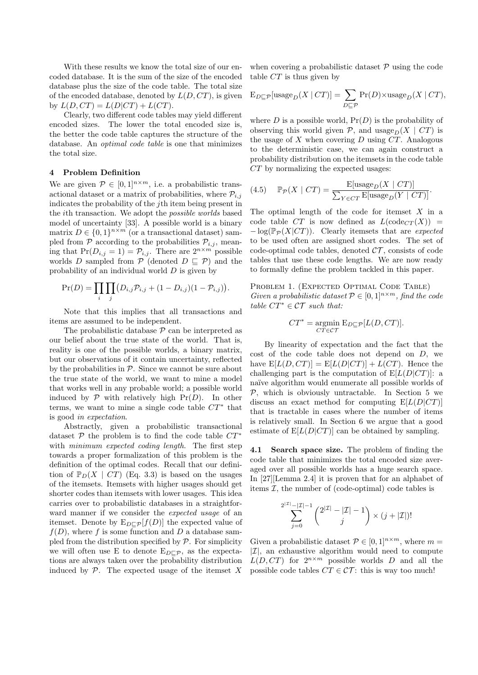With these results we know the total size of our encoded database. It is the sum of the size of the encoded database plus the size of the code table. The total size of the encoded database, denoted by *L*(*D, CT*), is given by  $L(D, CT) = L(D|CT) + L(CT)$ .

Clearly, two different code tables may yield different encoded sizes. The lower the total encoded size is, the better the code table captures the structure of the database. An *optimal code table* is one that minimizes the total size.

## **4 Problem Definition**

We are given  $P \in [0,1]^{n \times m}$ , i.e. a probabilistic transactional dataset or a matrix of probabilities, where  $P_{i,j}$ indicates the probability of the *j*th item being present in the *i*th transaction. We adopt the *possible worlds* based model of uncertainty [33]. A possible world is a binary matrix  $D \in \{0,1\}^{n \times m}$  (or a transactional dataset) sampled from  $P$  according to the probabilities  $P_{i,j}$ , meaning that  $Pr(D_{i,j} = 1) = P_{i,j}$ . There are  $2^{n \times m}$  possible worlds *D* sampled from  $\mathcal{P}$  (denoted  $D \subseteq \mathcal{P}$ ) and the probability of an individual world *D* is given by

$$
Pr(D) = \prod_{i} \prod_{j} (D_{i,j} \mathcal{P}_{i,j} + (1 - D_{i,j})(1 - \mathcal{P}_{i,j})).
$$

Note that this implies that all transactions and items are assumed to be independent.

The probabilistic database *P* can be interpreted as our belief about the true state of the world. That is, reality is one of the possible worlds, a binary matrix, but our observations of it contain uncertainty, reflected by the probabilities in  $P$ . Since we cannot be sure about the true state of the world, we want to mine a model that works well in any probable world; a possible world induced by  $P$  with relatively high  $Pr(D)$ . In other terms, we want to mine a single code table  $CT^*$  that is good *in expectation*.

Abstractly, given a probabilistic transactional dataset  $\mathcal P$  the problem is to find the code table  $CT^*$ with *minimum expected coding length*. The first step towards a proper formalization of this problem is the definition of the optimal codes. Recall that our definition of  $\mathbb{P}_D(X \mid CT)$  (Eq. 3.3) is based on the usages of the itemsets. Itemsets with higher usages should get shorter codes than itemsets with lower usages. This idea carries over to probabilistic databases in a straightforward manner if we consider the *expected usage* of an itemset. Denote by  $E_{D\sqsubset \mathcal{P}}[f(D)]$  the expected value of  $f(D)$ , where *f* is some function and *D* a database sampled from the distribution specified by  $P$ . For simplicity we will often use E to denote  $E_{D\sqsubset P}$ , as the expectations are always taken over the probability distribution induced by  $P$ . The expected usage of the itemset  $X$  when covering a probabilistic dataset *P* using the code table *CT* is thus given by

$$
E_{D \sqsubseteq \mathcal{P}}[usage_D(X \mid CT)] = \sum_{D \sqsubseteq \mathcal{P}} Pr(D) \times usage_D(X \mid CT),
$$

where  $D$  is a possible world,  $Pr(D)$  is the probability of observing this world given  $P$ , and usage<sub>D</sub>(*X* | *CT*) is the usage of *X* when covering *D* using *CT*. Analogous to the deterministic case, we can again construct a probability distribution on the itemsets in the code table *CT* by normalizing the expected usages:

(4.5) 
$$
\mathbb{P}_{\mathcal{P}}(X \mid CT) = \frac{\mathbb{E}[\text{usage}_D(X \mid CT)]}{\sum_{Y \in CT} \mathbb{E}[\text{usage}_D(Y \mid CT)]}.
$$

The optimal length of the code for itemset *X* in a code table *CT* is now defined as  $L(\text{code}_{CT}(X))$  = *−* log(P*<sup>P</sup>* (*X|CT*)). Clearly itemsets that are *expected* to be used often are assigned short codes. The set of code-optimal code tables, denoted  $\mathcal{CT}$ , consists of code tables that use these code lengths. We are now ready to formally define the problem tackled in this paper.

PROBLEM 1. (EXPECTED OPTIMAL CODE TABLE) *Given a probabilistic dataset*  $P \in [0, 1]^{n \times m}$ *, find the code table*  $CT^* \in \mathcal{CT}$  *such that:* 

$$
CT^* = \underset{CT}{\text{argmin}} \mathbf{E}_{D \sqsubseteq \mathcal{P}}[L(D,CT)].
$$

By linearity of expectation and the fact that the cost of the code table does not depend on *D*, we have  $E[L(D, CT)] = E[L(D|CT)] + L(CT)$ . Hence the challenging part is the computation of  $E[L(D|CT)]$ : a na¨ıve algorithm would enumerate all possible worlds of  $P$ , which is obviously untractable. In Section 5 we discuss an exact method for computing  $E[L(D|CT)]$ that is tractable in cases where the number of items is relatively small. In Section 6 we argue that a good estimate of  $E[L(D|CT)]$  can be obtained by sampling.

**4.1 Search space size.** The problem of finding the code table that minimizes the total encoded size averaged over all possible worlds has a huge search space. In [27][Lemma 2.4] it is proven that for an alphabet of items  $\mathcal{I}$ , the number of (code-optimal) code tables is

$$
\sum_{j=0}^{2^{|\mathcal{I}|}-|\mathcal{I}|-1} {2^{|\mathcal{I}|-1} - |\mathcal{I}|-1 \choose j} \times (j+|\mathcal{I}|)!
$$

Given a probabilistic dataset  $P \in [0, 1]^{n \times m}$ , where  $m =$ *|I|*, an exhaustive algorithm would need to compute  $L(D, CT)$  for  $2^{n \times m}$  possible worlds *D* and all the possible code tables  $CT \in \mathcal{CT}$ : this is way too much!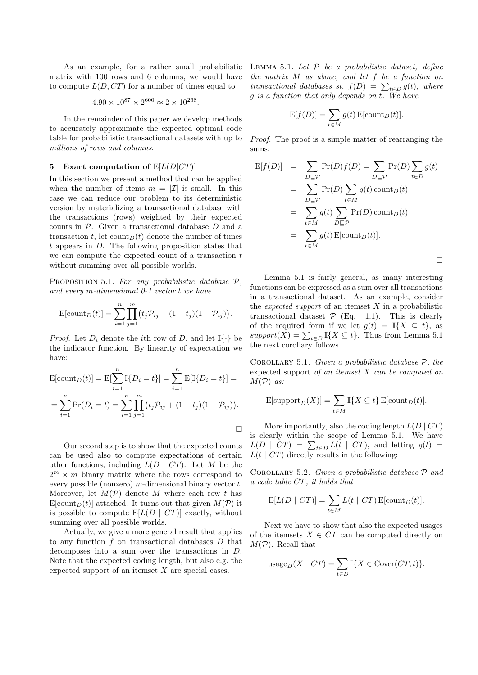As an example, for a rather small probabilistic matrix with 100 rows and 6 columns, we would have to compute  $L(D, CT)$  for a number of times equal to

$$
4.90 \times 10^{87} \times 2^{600} \approx 2 \times 10^{268}.
$$

In the remainder of this paper we develop methods to accurately approximate the expected optimal code table for probabilistic transactional datasets with up to *millions of rows and columns*.

## **5 Exact computation of** E[*L*(*D|CT*)]

In this section we present a method that can be applied when the number of items  $m = |\mathcal{I}|$  is small. In this case we can reduce our problem to its deterministic version by materializing a transactional database with the transactions (rows) weighted by their expected counts in *P*. Given a transactional database *D* and a transaction *t*, let count<sub>*D*</sub>(*t*) denote the number of times *t* appears in *D*. The following proposition states that we can compute the expected count of a transaction *t* without summing over all possible worlds.

Proposition 5.1. *For any probabilistic database P, and every m-dimensional 0-1 vector t we have*

$$
E[count_D(t)] = \sum_{i=1}^{n} \prod_{j=1}^{m} (t_j \mathcal{P}_{ij} + (1 - t_j)(1 - \mathcal{P}_{ij})).
$$

*Proof.* Let  $D_i$  denote the *i*th row of  $D$ , and let  $\mathbb{I}\{\cdot\}$  be the indicator function. By linearity of expectation we have:

$$
E[count_D(t)] = E[\sum_{i=1}^{n} \mathbb{I}\{D_i = t\}] = \sum_{i=1}^{n} E[\mathbb{I}\{D_i = t\}] =
$$
  
= 
$$
\sum_{i=1}^{n} \Pr(D_i = t) = \sum_{i=1}^{n} \prod_{j=1}^{m} (t_j \mathcal{P}_{ij} + (1 - t_j)(1 - \mathcal{P}_{ij})).
$$

Our second step is to show that the expected counts can be used also to compute expectations of certain other functions, including  $L(D | CT)$ . Let M be the  $2^m \times m$  binary matrix where the rows correspond to every possible (nonzero) *m*-dimensional binary vector *t*. Moreover, let  $M(\mathcal{P})$  denote M where each row t has  $E[count_D(t)]$  attached. It turns out that given  $M(\mathcal{P})$  it is possible to compute  $E[L(D | CT)]$  exactly, without summing over all possible worlds.

Actually, we give a more general result that applies to any function *f* on transactional databases *D* that decomposes into a sum over the transactions in *D*. Note that the expected coding length, but also e.g. the expected support of an itemset *X* are special cases.

Lemma 5.1. *Let P be a probabilistic dataset, define the matrix M as above, and let f be a function on transactional databases st.*  $f(D) = \sum_{t \in D} g(t)$ *, where g is a function that only depends on t. We have*

$$
E[f(D)] = \sum_{t \in M} g(t) E[count_D(t)].
$$

*Proof.* The proof is a simple matter of rearranging the sums:

$$
E[f(D)] = \sum_{D \subseteq \mathcal{P}} Pr(D)f(D) = \sum_{D \subseteq \mathcal{P}} Pr(D) \sum_{t \in D} g(t)
$$
  
= 
$$
\sum_{D \subseteq \mathcal{P}} Pr(D) \sum_{t \in M} g(t) \text{ count}_D(t)
$$
  
= 
$$
\sum_{t \in M} g(t) \sum_{D \subseteq \mathcal{P}} Pr(D) \text{ count}_D(t)
$$
  
= 
$$
\sum_{t \in M} g(t) E[\text{count}_D(t)].
$$

Lemma 5.1 is fairly general, as many interesting functions can be expressed as a sum over all transactions in a transactional dataset. As an example, consider the *expected support* of an itemset *X* in a probabilistic transactional dataset  $P$  (Eq. 1.1). This is clearly of the required form if we let  $g(t) = \mathbb{I}\{X \subseteq t\}$ , as  $support(X) = \sum_{t \in D} \mathbb{I}\{X \subseteq t\}$ . Thus from Lemma 5.1 the next corollary follows.

Corollary 5.1. *Given a probabilistic database P, the* expected support *of an itemset X can be computed on M*(*P*) *as:*

$$
\mathbb{E}[\text{support}_D(X)] = \sum_{t \in M} \mathbb{I}\{X \subseteq t\} \mathbb{E}[\text{count}_D(t)].
$$

More importantly, also the coding length  $L(D | CT)$ is clearly within the scope of Lemma 5.1. We have  $L(D \mid CT) = \sum_{t \in D} L(t \mid CT)$ , and letting  $g(t) =$  $L(t \mid CT)$  directly results in the following:

Corollary 5.2. *Given a probabilistic database P and a code table CT, it holds that*

$$
E[L(D | CT)] = \sum_{t \in M} L(t | CT) E[count_D(t)].
$$

Next we have to show that also the expected usages of the itemsets  $X \in \mathbb{C}T$  can be computed directly on *M*(*P*). Recall that

$$
\operatorname{usage}_D(X \mid CT) = \sum_{t \in D} \mathbb{I}\{X \in \operatorname{Cover}(CT, t)\}.
$$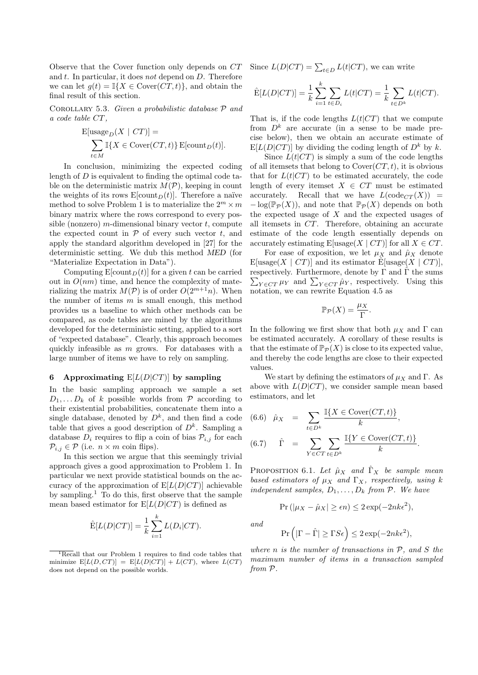Observe that the Cover function only depends on *CT* and *t*. In particular, it does *not* depend on *D*. Therefore we can let  $g(t) = \mathbb{I}\{X \in \text{Cover}(CT, t)\}\)$ , and obtain the final result of this section.

Corollary 5.3. *Given a probabilistic database P and a code table CT,*

$$
E[usage_D(X \mid CT)] =
$$
  

$$
\sum_{t \in M} \mathbb{I}\{X \in \text{Cover}(CT, t)\} \, E[\text{count}_D(t)].
$$

In conclusion, minimizing the expected coding length of *D* is equivalent to finding the optimal code table on the deterministic matrix  $M(\mathcal{P})$ , keeping in count the weights of its rows  $E[\text{count}_D(t)]$ . Therefore a naïve method to solve Problem 1 is to materialize the  $2^m \times m$ binary matrix where the rows correspond to every possible (nonzero) *m*-dimensional binary vector *t*, compute the expected count in  $P$  of every such vector  $t$ , and apply the standard algorithm developed in [27] for the deterministic setting. We dub this method *MED* (for "Materialize Expectation in Data").

Computing  $E[\text{count}_D(t)]$  for a given *t* can be carried out in  $O(nm)$  time, and hence the complexity of materializing the matrix  $M(\mathcal{P})$  is of order  $O(2^{m+1}n)$ . When the number of items *m* is small enough, this method provides us a baseline to which other methods can be compared, as code tables are mined by the algorithms developed for the deterministic setting, applied to a sort of "expected database". Clearly, this approach becomes quickly infeasible as *m* grows. For databases with a large number of items we have to rely on sampling.

#### **6 Approximating** E[*L*(*D|CT*)] **by sampling**

In the basic sampling approach we sample a set  $D_1, \ldots, D_k$  of *k* possible worlds from  $P$  according to their existential probabilities, concatenate them into a single database, denoted by  $D^k$ , and then find a code table that gives a good description of  $D^k$ . Sampling a database  $D_i$  requires to flip a coin of bias  $\mathcal{P}_{i,j}$  for each  $P_{i,j} \in \mathcal{P}$  (i.e.  $n \times m$  coin flips).

In this section we argue that this seemingly trivial approach gives a good approximation to Problem 1. In particular we next provide statistical bounds on the accuracy of the approximation of  $E[L(D|CT)]$  achievable by sampling.<sup>1</sup> To do this, first observe that the sample mean based estimator for  $E[L(D|CT)]$  is defined as

$$
\hat{\mathcal{E}}[L(D|CT)] = \frac{1}{k} \sum_{i=1}^{k} L(D_i|CT).
$$

Since  $L(D|CT) = \sum_{t \in D} L(t|CT)$ , we can write

$$
\hat{E}[L(D|CT)] = \frac{1}{k} \sum_{i=1}^{k} \sum_{t \in D_i} L(t|CT) = \frac{1}{k} \sum_{t \in D^k} L(t|CT).
$$

That is, if the code lengths  $L(t|CT)$  that we compute from  $D^k$  are accurate (in a sense to be made precise below), then we obtain an accurate estimate of  $E[L(D|CT)]$  by dividing the coding length of  $D^k$  by  $k$ .

Since  $L(t|CT)$  is simply a sum of the code lengths of all itemsets that belong to Cover(*CT, t*), it is obvious that for  $L(t|CT)$  to be estimated accurately, the code length of every itemset  $X \in CT$  must be estimated accurately. Recall that we have  $L(\text{code}_{CT}(X))$  =  $-\log(\mathbb{P}_P(X))$ , and note that  $\mathbb{P}_P(X)$  depends on both the expected usage of *X* and the expected usages of all itemsets in *CT*. Therefore, obtaining an accurate estimate of the code length essentially depends on accurately estimating  $E[\text{usage}(X \mid CT)]$  for all  $X \in CT$ .

For ease of exposition, we let  $\mu_X$  and  $\hat{\mu}_X$  denote  $E[usage(X \mid CT)]$  and its estimator  $\hat{E}[usage(X \mid CT)],$ respectively. Furthermore, denote by  $\Gamma$  and  $\hat{\Gamma}$  the sums  $\sum_{Y \in \mathit{CT}} \mu_Y$  and  $\sum_{Y \in \mathit{CT}} \hat{\mu}_Y$ , respectively. Using this notation, we can rewrite Equation 4.5 as

$$
\mathbb{P}_{\mathcal{P}}(X) = \frac{\mu_X}{\Gamma}.
$$

In the following we first show that both  $\mu_X$  and  $\Gamma$  can be estimated accurately. A corollary of these results is that the estimate of  $\mathbb{P}_{\mathcal{P}}(X)$  is close to its expected value, and thereby the code lengths are close to their expected values.

We start by defining the estimators of  $\mu_X$  and  $\Gamma$ . As above with  $L(D|CT)$ , we consider sample mean based estimators, and let

(6.6) 
$$
\hat{\mu}_X = \sum_{t \in D^k} \frac{\mathbb{I}\{X \in \text{Cover}(CT, t)\}}{k},
$$
  
(6.7) 
$$
\hat{\Gamma} = \sum_{Y \in CT} \sum_{t \in D^k} \frac{\mathbb{I}\{Y \in \text{Cover}(CT, t)\}}{k}.
$$

PROPOSITION 6.1. Let  $\hat{\mu}_X$  and  $\hat{\Gamma}_X$  be sample mean *based estimators of*  $\mu_X$  *and*  $\Gamma_X$ *, respectively, using k independent samples,*  $D_1, \ldots, D_k$  *from*  $P$ *. We have* 

$$
\Pr\left(|\mu_X - \hat{\mu}_X| \ge \epsilon n\right) \le 2\exp(-2nk\epsilon^2),
$$

*and*

$$
\Pr\left(|\Gamma - \hat{\Gamma}| \ge \Gamma S \epsilon\right) \le 2\exp(-2nk\epsilon^2),
$$

*where n is the number of transactions in P, and S the maximum number of items in a transaction sampled from P.*

<sup>&</sup>lt;sup>1</sup>Recall that our Problem 1 requires to find code tables that minimize  $E[L(D, CT)] = E[L(D|CT)] + L(CT)$ , where  $L(CT)$ does not depend on the possible worlds.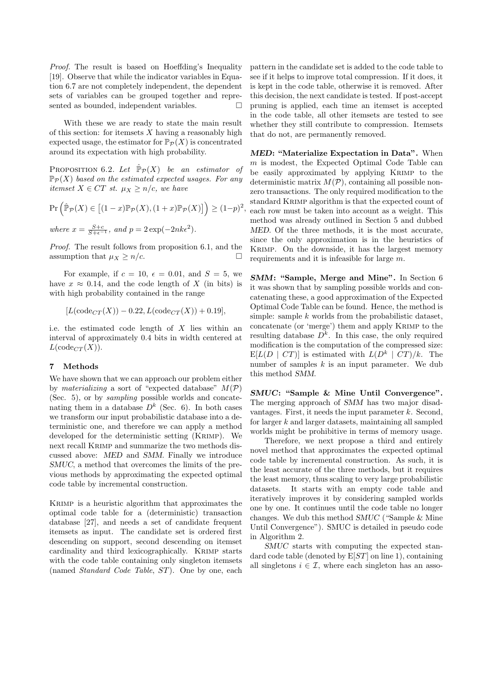*Proof.* The result is based on Hoeffding's Inequality [19]. Observe that while the indicator variables in Equation 6.7 are not completely independent, the dependent sets of variables can be grouped together and represented as bounded, independent variables.

With these we are ready to state the main result of this section: for itemsets *X* having a reasonably high expected usage, the estimator for  $\mathbb{P}_{\mathcal{P}}(X)$  is concentrated around its expectation with high probability.

PROPOSITION 6.2. Let  $\hat{\mathbb{P}}_{\mathcal{P}}(X)$  *be an estimator of*  $\mathbb{P}_{\mathcal{P}}(X)$  based on the estimated expected usages. For any *itemset*  $X \in CT$  *st.*  $\mu_X \geq n/c$ *, we have* 

$$
\Pr\left(\hat{\mathbb{P}}_{\mathcal{P}}(X) \in [(1-x)\mathbb{P}_{\mathcal{P}}(X), (1+x)\mathbb{P}_{\mathcal{P}}(X)]\right) \ge (1-p)^2,
$$
  
where  $x = \frac{S+c}{S+c^{-1}}$ , and  $p = 2\exp(-2nk\epsilon^2)$ .

*Proof.* The result follows from proposition 6.1, and the assumption that  $\mu_X \geq n/c$ .

For example, if  $c = 10$ ,  $\epsilon = 0.01$ , and  $S = 5$ , we have  $x \approx 0.14$ , and the code length of *X* (in bits) is with high probability contained in the range

$$
[L(\text{code}_{CT}(X)) - 0.22, L(\text{code}_{CT}(X)) + 0.19],
$$

i.e. the estimated code length of *X* lies within an interval of approximately 0.4 bits in width centered at  $L(\text{code}_{CT}(X)).$ 

## **7 Methods**

We have shown that we can approach our problem either by *materializing* a sort of "expected database"  $M(\mathcal{P})$ (Sec. 5), or by *sampling* possible worlds and concatenating them in a database  $D^k$  (Sec. 6). In both cases we transform our input probabilistic database into a deterministic one, and therefore we can apply a method developed for the deterministic setting (Krimp). We next recall Krimp and summarize the two methods discussed above: *MED* and *SMM*. Finally we introduce *SMUC*, a method that overcomes the limits of the previous methods by approximating the expected optimal code table by incremental construction.

Krimp is a heuristic algorithm that approximates the optimal code table for a (deterministic) transaction database [27], and needs a set of candidate frequent itemsets as input. The candidate set is ordered first descending on support, second descending on itemset cardinality and third lexicographically. Krimp starts with the code table containing only singleton itemsets (named *Standard Code Table*, *ST*). One by one, each pattern in the candidate set is added to the code table to see if it helps to improve total compression. If it does, it is kept in the code table, otherwise it is removed. After this decision, the next candidate is tested. If post-accept pruning is applied, each time an itemset is accepted in the code table, all other itemsets are tested to see whether they still contribute to compression. Itemsets that do not, are permanently removed.

*MED***: "Materialize Expectation in Data".** When *m* is modest, the Expected Optimal Code Table can be easily approximated by applying Krimp to the deterministic matrix *M*(*P*), containing all possible nonzero transactions. The only required modification to the standard Krimp algorithm is that the expected count of each row must be taken into account as a weight. This method was already outlined in Section 5 and dubbed *MED*. Of the three methods, it is the most accurate, since the only approximation is in the heuristics of Krimp. On the downside, it has the largest memory requirements and it is infeasible for large *m*.

*SMM***: "Sample, Merge and Mine".** In Section 6 it was shown that by sampling possible worlds and concatenating these, a good approximation of the Expected Optimal Code Table can be found. Hence, the method is simple: sample *k* worlds from the probabilistic dataset, concatenate (or 'merge') them and apply Krimp to the resulting database  $D^k$ . In this case, the only required modification is the computation of the compressed size:  $E[L(D \mid CT)]$  is estimated with  $L(D^k \mid CT)/k$ . The number of samples *k* is an input parameter. We dub this method *SMM*.

*SMUC***: "Sample & Mine Until Convergence".** The merging approach of *SMM* has two major disadvantages. First, it needs the input parameter *k*. Second, for larger *k* and larger datasets, maintaining all sampled worlds might be prohibitive in terms of memory usage.

Therefore, we next propose a third and entirely novel method that approximates the expected optimal code table by incremental construction. As such, it is the least accurate of the three methods, but it requires the least memory, thus scaling to very large probabilistic datasets. It starts with an empty code table and iteratively improves it by considering sampled worlds one by one. It continues until the code table no longer changes. We dub this method *SMUC* ("Sample & Mine Until Convergence"). SMUC is detailed in pseudo code in Algorithm 2.

*SMUC* starts with computing the expected standard code table (denoted by E[*ST*] on line 1), containing all singletons  $i \in \mathcal{I}$ , where each singleton has an asso-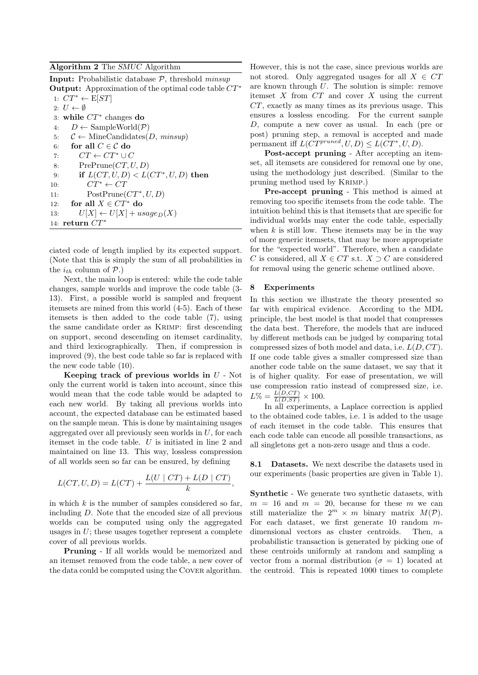## **Algorithm 2** The *SMUC* Algorithm

**Input:** Probabilistic database *P*, threshold *minsup* **Output:** Approximation of the optimal code table *CT <sup>∗</sup>*

1:  $CT^*$  ← E[*ST*] 2:  $U \leftarrow \emptyset$ 3: **while** *CT <sup>∗</sup>* changes **do** 4:  $D \leftarrow \text{SampleWorld}(\mathcal{P})$ 5:  $C \leftarrow \text{MineCandidates}(D, \text{minsup})$ 6: **for all**  $C \in \mathcal{C}$  **do** 7:  $CT \leftarrow CT^* \cup C$ 8: PrePrune(*CT, U, D*) 9: **if**  $L(CT, U, D) < L(CT^*, U, D)$  then 10:  $CT^* \leftarrow CT$ 11: PostPrune( $CT^*$ , *U*, *D*) 12: **for all**  $X \in CT^*$  **do** 13:  $U[X] \leftarrow U[X] + usage_D(X)$ 14: **return** *CT <sup>∗</sup>*

ciated code of length implied by its expected support. (Note that this is simply the sum of all probabilities in the  $i_{th}$  column of  $\mathcal{P}$ .)

Next, the main loop is entered: while the code table changes, sample worlds and improve the code table (3- 13). First, a possible world is sampled and frequent itemsets are mined from this world (4-5). Each of these itemsets is then added to the code table (7), using the same candidate order as Krimp: first descending on support, second descending on itemset cardinality, and third lexicographically. Then, if compression is improved (9), the best code table so far is replaced with the new code table (10).

**Keeping track of previous worlds in** *U* - Not only the current world is taken into account, since this would mean that the code table would be adapted to each new world. By taking all previous worlds into account, the expected database can be estimated based on the sample mean. This is done by maintaining usages aggregated over all previously seen worlds in *U*, for each itemset in the code table. *U* is initiated in line 2 and maintained on line 13. This way, lossless compression of all worlds seen so far can be ensured, by defining

$$
L(CT, U, D) = L(CT) + \frac{L(U \mid CT) + L(D \mid CT)}{k},
$$

in which *k* is the number of samples considered so far, including *D*. Note that the encoded size of all previous worlds can be computed using only the aggregated usages in *U*; these usages together represent a complete cover of all previous worlds.

**Pruning** - If all worlds would be memorized and an itemset removed from the code table, a new cover of the data could be computed using the Cover algorithm.

However, this is not the case, since previous worlds are not stored. Only aggregated usages for all  $X \in \mathbb{C}T$ are known through *U*. The solution is simple: remove itemset *X* from *CT* and cover *X* using the current *CT*, exactly as many times as its previous usage. This ensures a lossless encoding. For the current sample *D*, compute a new cover as usual. In each (pre or post) pruning step, a removal is accepted and made permanent iff  $L(CT^{pruned}, U, D) \leq L(CT^*, U, D)$ .

**Post-accept pruning** - After accepting an itemset, all itemsets are considered for removal one by one, using the methodology just described. (Similar to the pruning method used by Krimp.)

**Pre-accept pruning** - This method is aimed at removing too specific itemsets from the code table. The intuition behind this is that itemsets that are specific for individual worlds may enter the code table, especially when  $k$  is still low. These itemsets may be in the way of more generic itemsets, that may be more appropriate for the "expected world". Therefore, when a candidate *C* is considered, all  $X \in CT$  s.t.  $X \supset C$  are considered for removal using the generic scheme outlined above.

#### **8 Experiments**

In this section we illustrate the theory presented so far with empirical evidence. According to the MDL principle, the best model is that model that compresses the data best. Therefore, the models that are induced by different methods can be judged by comparing total compressed sizes of both model and data, i.e. *L*(*D, CT*). If one code table gives a smaller compressed size than another code table on the same dataset, we say that it is of higher quality. For ease of presentation, we will use compression ratio instead of compressed size, i.e.  $L\% = \frac{L(D,CT)}{L(D,ST)} \times 100.$ 

In all experiments, a Laplace correction is applied to the obtained code tables, i.e. 1 is added to the usage of each itemset in the code table. This ensures that each code table can encode all possible transactions, as all singletons get a non-zero usage and thus a code.

**8.1 Datasets.** We next describe the datasets used in our experiments (basic properties are given in Table 1).

**Synthetic** - We generate two synthetic datasets, with  $m = 16$  and  $m = 20$ , because for these *m* we can still materialize the  $2^m \times m$  binary matrix  $M(\mathcal{P})$ . For each dataset, we first generate 10 random *m*dimensional vectors as cluster centroids. Then, a probabilistic transaction is generated by picking one of these centroids uniformly at random and sampling a vector from a normal distribution ( $\sigma = 1$ ) located at the centroid. This is repeated 1000 times to complete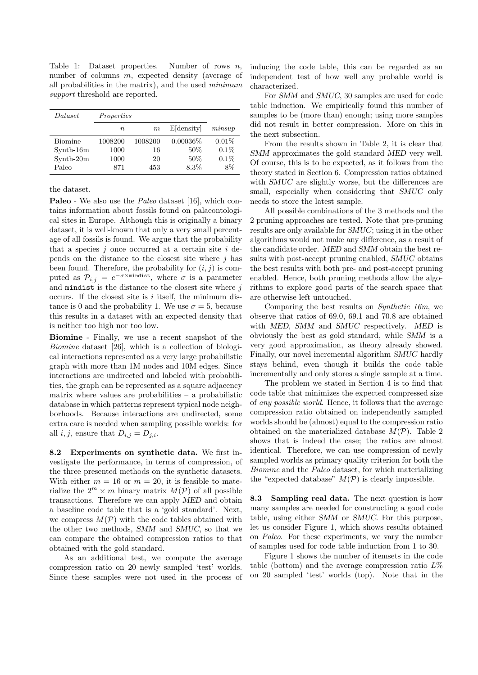Table 1: Dataset properties. Number of rows *n*, number of columns *m*, expected density (average of all probabilities in the matrix), and the used *minimum support* threshold are reported.

| Dataset        | Properties |         |               |         |
|----------------|------------|---------|---------------|---------|
|                | $\, n$     | m       | $E$ [density] | minsup  |
| <b>Biomine</b> | 1008200    | 1008200 | $0.00036\%$   | 0.01%   |
| Synth-16m      | 1000       | 16      | 50%           | $0.1\%$ |
| Synth-20m      | 1000       | 20      | 50%           | $0.1\%$ |
| Paleo          | 871        | 453     | 8.3%          | 8%      |

the dataset.

**Paleo** - We also use the *Paleo* dataset [16], which contains information about fossils found on palaeontological sites in Europe. Although this is originally a binary dataset, it is well-known that only a very small percentage of all fossils is found. We argue that the probability that a species *j* once occurred at a certain site *i* depends on the distance to the closest site where *j* has been found. Therefore, the probability for  $(i, j)$  is computed as  $\mathcal{P}_{i,j} = e^{-\sigma \times \text{mindist}}$ , where  $\sigma$  is a parameter and mindist is the distance to the closest site where *j* occurs. If the closest site is *i* itself, the minimum distance is 0 and the probability 1. We use  $\sigma = 5$ , because this results in a dataset with an expected density that is neither too high nor too low.

**Biomine** - Finally, we use a recent snapshot of the *Biomine* dataset [26], which is a collection of biological interactions represented as a very large probabilistic graph with more than 1M nodes and 10M edges. Since interactions are undirected and labeled with probabilities, the graph can be represented as a square adjacency matrix where values are probabilities  $-$  a probabilistic database in which patterns represent typical node neighborhoods. Because interactions are undirected, some extra care is needed when sampling possible worlds: for all *i*, *j*, ensure that  $D_{i,j} = D_{j,i}$ .

**8.2 Experiments on synthetic data.** We first investigate the performance, in terms of compression, of the three presented methods on the synthetic datasets. With either  $m = 16$  or  $m = 20$ , it is feasible to materialize the  $2^m \times m$  binary matrix  $M(\mathcal{P})$  of all possible transactions. Therefore we can apply *MED* and obtain a baseline code table that is a 'gold standard'. Next, we compress  $M(\mathcal{P})$  with the code tables obtained with the other two methods, *SMM* and *SMUC*, so that we can compare the obtained compression ratios to that obtained with the gold standard.

As an additional test, we compute the average compression ratio on 20 newly sampled 'test' worlds. Since these samples were not used in the process of inducing the code table, this can be regarded as an independent test of how well any probable world is characterized.

For *SMM* and *SMUC*, 30 samples are used for code table induction. We empirically found this number of samples to be (more than) enough; using more samples did not result in better compression. More on this in the next subsection.

From the results shown in Table 2, it is clear that *SMM* approximates the gold standard *MED* very well. Of course, this is to be expected, as it follows from the theory stated in Section 6. Compression ratios obtained with *SMUC* are slightly worse, but the differences are small, especially when considering that *SMUC* only needs to store the latest sample.

All possible combinations of the 3 methods and the 2 pruning approaches are tested. Note that pre-pruning results are only available for *SMUC*; using it in the other algorithms would not make any difference, as a result of the candidate order. *MED* and *SMM* obtain the best results with post-accept pruning enabled, *SMUC* obtains the best results with both pre- and post-accept pruning enabled. Hence, both pruning methods allow the algorithms to explore good parts of the search space that are otherwise left untouched.

Comparing the best results on *Synthetic 16m*, we observe that ratios of 69*.*0, 69*.*1 and 70*.*8 are obtained with *MED*, *SMM* and *SMUC* respectively. *MED* is obviously the best as gold standard, while *SMM* is a very good approximation, as theory already showed. Finally, our novel incremental algorithm *SMUC* hardly stays behind, even though it builds the code table incrementally and only stores a single sample at a time.

The problem we stated in Section 4 is to find that code table that minimizes the expected compressed size of *any possible world*. Hence, it follows that the average compression ratio obtained on independently sampled worlds should be (almost) equal to the compression ratio obtained on the materialized database  $M(\mathcal{P})$ . Table 2 shows that is indeed the case; the ratios are almost identical. Therefore, we can use compression of newly sampled worlds as primary quality criterion for both the *Biomine* and the *Paleo* dataset, for which materializing the "expected database"  $M(\mathcal{P})$  is clearly impossible.

**8.3 Sampling real data.** The next question is how many samples are needed for constructing a good code table, using either *SMM* or *SMUC*. For this purpose, let us consider Figure 1, which shows results obtained on *Paleo*. For these experiments, we vary the number of samples used for code table induction from 1 to 30.

Figure 1 shows the number of itemsets in the code table (bottom) and the average compression ratio *L*% on 20 sampled 'test' worlds (top). Note that in the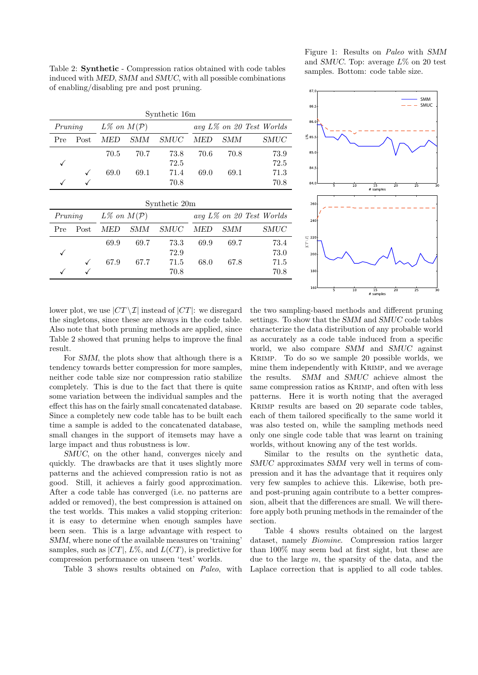Table 2: **Synthetic** - Compression ratios obtained with code tables induced with *MED*, *SMM* and *SMUC*, with all possible combinations of enabling/disabling pre and post pruning.

| Synthetic 16m |      |                           |      |                             |      |      |      |
|---------------|------|---------------------------|------|-----------------------------|------|------|------|
| Pruning       |      | $L\%$ on $M(\mathcal{P})$ |      | $avg L\%$ on 20 Test Worlds |      |      |      |
| Pre           | Post | MED                       | SMM  | SMUC                        | MED  | SMM  | SMUC |
|               |      | 70.5                      | 70.7 | 73.8                        | 70.6 | 70.8 | 73.9 |
|               |      |                           |      | 72.5                        |      |      | 72.5 |
|               |      | 69.0                      | 69.1 | 71.4                        | 69.0 | 69.1 | 71.3 |
|               |      |                           |      | 70.8                        |      |      | 70.8 |

| Synthetic 20m |      |                           |      |             |      |      |                             |
|---------------|------|---------------------------|------|-------------|------|------|-----------------------------|
| Pruning       |      | $L\%$ on $M(\mathcal{P})$ |      |             |      |      | $avg L\%$ on 20 Test Worlds |
| Pre           | Post | MED                       | SMM  | <i>SMUC</i> | MED  | SMM  | <i>SMUC</i>                 |
|               |      | 69.9                      | 69.7 | 73.3        | 69.9 | 69.7 | 73.4                        |
|               |      |                           |      | 72.9        |      |      | 73.0                        |
|               |      | 67.9                      | 67.7 | 71.5        | 68.0 | 67.8 | 71.5                        |
|               |      |                           |      | 70.8        |      |      | 70.8                        |

Figure 1: Results on *Paleo* with *SMM* and *SMUC*. Top: average *L*% on 20 test samples. Bottom: code table size.



lower plot, we use  $|CT \setminus \mathcal{I}|$  instead of  $|CT|$ : we disregard the singletons, since these are always in the code table. Also note that both pruning methods are applied, since Table 2 showed that pruning helps to improve the final result.

For *SMM*, the plots show that although there is a tendency towards better compression for more samples, neither code table size nor compression ratio stabilize completely. This is due to the fact that there is quite some variation between the individual samples and the effect this has on the fairly small concatenated database. Since a completely new code table has to be built each time a sample is added to the concatenated database, small changes in the support of itemsets may have a large impact and thus robustness is low.

*SMUC*, on the other hand, converges nicely and quickly. The drawbacks are that it uses slightly more patterns and the achieved compression ratio is not as good. Still, it achieves a fairly good approximation. After a code table has converged (i.e. no patterns are added or removed), the best compression is attained on the test worlds. This makes a valid stopping criterion: it is easy to determine when enough samples have been seen. This is a large advantage with respect to *SMM*, where none of the available measures on 'training' samples, such as  $|CT|$ ,  $L\%$ , and  $L(CT)$ , is predictive for compression performance on unseen 'test' worlds.

Table 3 shows results obtained on *Paleo*, with

the two sampling-based methods and different pruning settings. To show that the *SMM* and *SMUC* code tables characterize the data distribution of any probable world as accurately as a code table induced from a specific world, we also compare *SMM* and *SMUC* against Krimp. To do so we sample 20 possible worlds, we mine them independently with Krimp, and we average the results. *SMM* and *SMUC* achieve almost the same compression ratios as KRIMP, and often with less patterns. Here it is worth noting that the averaged Krimp results are based on 20 separate code tables, each of them tailored specifically to the same world it was also tested on, while the sampling methods need only one single code table that was learnt on training worlds, without knowing any of the test worlds.

Similar to the results on the synthetic data, *SMUC* approximates *SMM* very well in terms of compression and it has the advantage that it requires only very few samples to achieve this. Likewise, both preand post-pruning again contribute to a better compression, albeit that the differences are small. We will therefore apply both pruning methods in the remainder of the section.

Table 4 shows results obtained on the largest dataset, namely *Biomine*. Compression ratios larger than 100% may seem bad at first sight, but these are due to the large *m*, the sparsity of the data, and the Laplace correction that is applied to all code tables.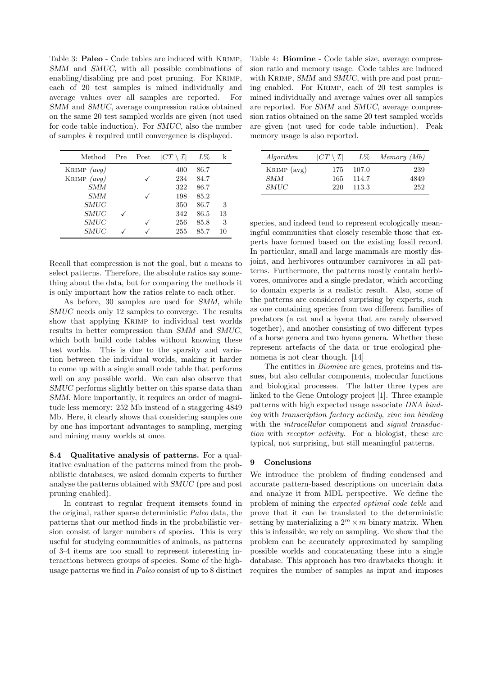Table 3: **Paleo** - Code tables are induced with Krimp, *SMM* and *SMUC*, with all possible combinations of enabling/disabling pre and post pruning. For KRIMP, each of 20 test samples is mined individually and average values over all samples are reported. For *SMM* and *SMUC*, average compression ratios obtained on the same 20 test sampled worlds are given (not used for code table induction). For *SMUC*, also the number of samples *k* required until convergence is displayed.

| Method        | Pre | Post | $ CT \setminus \mathcal{I} $ | $L\%$ | k  |
|---------------|-----|------|------------------------------|-------|----|
| KRIMP $(avg)$ |     |      | 400                          | 86.7  |    |
| KRIMP $(avg)$ |     |      | 234                          | 84.7  |    |
| SMM           |     |      | 322                          | 86.7  |    |
| SMM           |     |      | 198                          | 85.2  |    |
| <b>SMUC</b>   |     |      | 350                          | 86.7  | 3  |
| SMUC          |     |      | 342                          | 86.5  | 13 |
| <b>SMUC</b>   |     |      | 256                          | 85.8  | 3  |
| <b>SMUC</b>   |     |      | 255                          | 85.7  | 10 |

Recall that compression is not the goal, but a means to select patterns. Therefore, the absolute ratios say something about the data, but for comparing the methods it is only important how the ratios relate to each other.

As before, 30 samples are used for *SMM*, while *SMUC* needs only 12 samples to converge. The results show that applying KRIMP to individual test worlds results in better compression than *SMM* and *SMUC*, which both build code tables without knowing these test worlds. This is due to the sparsity and variation between the individual worlds, making it harder to come up with a single small code table that performs well on any possible world. We can also observe that *SMUC* performs slightly better on this sparse data than *SMM*. More importantly, it requires an order of magnitude less memory: 252 Mb instead of a staggering 4849 Mb. Here, it clearly shows that considering samples one by one has important advantages to sampling, merging and mining many worlds at once.

**8.4 Qualitative analysis of patterns.** For a qualitative evaluation of the patterns mined from the probabilistic databases, we asked domain experts to further analyse the patterns obtained with *SMUC* (pre and post pruning enabled).

In contrast to regular frequent itemsets found in the original, rather sparse deterministic *Paleo* data, the patterns that our method finds in the probabilistic version consist of larger numbers of species. This is very useful for studying communities of animals, as patterns of 3-4 items are too small to represent interesting interactions between groups of species. Some of the highusage patterns we find in *Paleo* consist of up to 8 distinct

Table 4: **Biomine** - Code table size, average compression ratio and memory usage. Code tables are induced with KRIMP, *SMM* and *SMUC*, with pre and post pruning enabled. For Krimp, each of 20 test samples is mined individually and average values over all samples are reported. For *SMM* and *SMUC*, average compression ratios obtained on the same 20 test sampled worlds are given (not used for code table induction). Peak memory usage is also reported.

| Algorithm   | $ CT \setminus \mathcal{I} $ | $L\%$ | Memory (Mb) |
|-------------|------------------------------|-------|-------------|
| KRIMP (avg) | 175                          | 107.0 | 239         |
| <b>SMM</b>  | 165                          | 114.7 | 4849        |
| <i>SMUC</i> | 220                          | 113.3 | 252         |

species, and indeed tend to represent ecologically meaningful communities that closely resemble those that experts have formed based on the existing fossil record. In particular, small and large mammals are mostly disjoint, and herbivores outnumber carnivores in all patterns. Furthermore, the patterns mostly contain herbivores, omnivores and a single predator, which according to domain experts is a realistic result. Also, some of the patterns are considered surprising by experts, such as one containing species from two different families of predators (a cat and a hyena that are rarely observed together), and another consisting of two different types of a horse genera and two hyena genera. Whether these represent artefacts of the data or true ecological phenomena is not clear though. [14]

The entities in *Biomine* are genes, proteins and tissues, but also cellular components, molecular functions and biological processes. The latter three types are linked to the Gene Ontology project [1]. Three example patterns with high expected usage associate *DNA binding* with *transcription factory activity*, *zinc ion binding* with the *intracellular* component and *signal transduction* with *receptor activity*. For a biologist, these are typical, not surprising, but still meaningful patterns.

### **9 Conclusions**

We introduce the problem of finding condensed and accurate pattern-based descriptions on uncertain data and analyze it from MDL perspective. We define the problem of mining the *expected optimal code table* and prove that it can be translated to the deterministic setting by materializing a  $2^m \times m$  binary matrix. When this is infeasible, we rely on sampling. We show that the problem can be accurately approximated by sampling possible worlds and concatenating these into a single database. This approach has two drawbacks though: it requires the number of samples as input and imposes